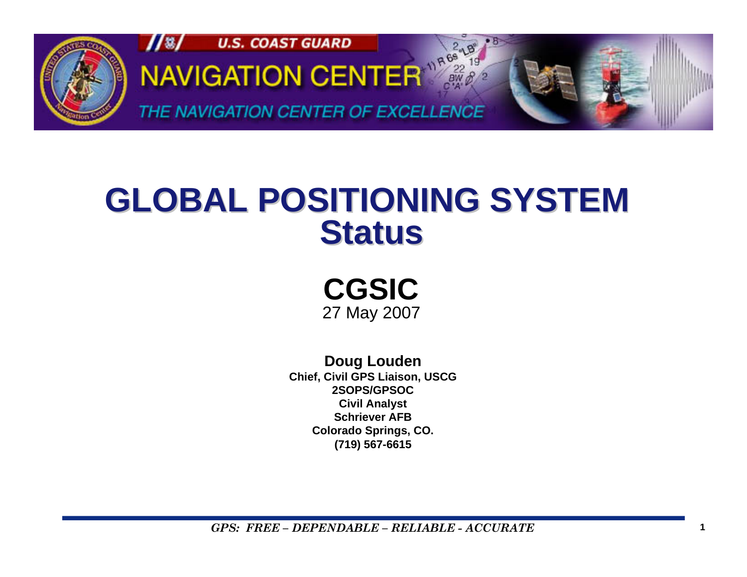

## **GLOBAL POSITIONING SYSTEM GLOBAL POSITIONING SYSTEM Status**

**CGSIC**27 May 2007

**Doug Louden Chief, Civil GPS Liaison, USCG 2SOPS/GPSOCCivil Analyst Schriever AFB Colorado Springs, CO. (719) 567-6615**

*GPS: FREE – DEPENDABLE – RELIABLE - ACCURATE* $\boldsymbol{E}$  and  $\boldsymbol{I}$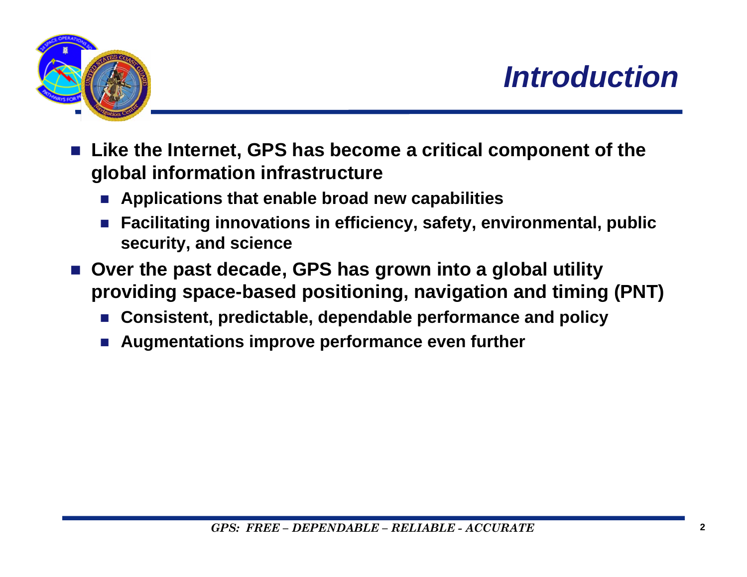

- F. **Like the Internet, GPS has become a critical component of the global information infrastructure** 
	- Applications that enable broad new capabilities
	- **Facilitating innovations in efficiency, safety, environmental, public security, and science**
- Over the past decade, GPS has grown into a global utility **providing space-based positioning, navigation and timing (PNT)** 
	- **Consistent, predictable, dependable performance and policy**
	- P. **Augmentations improve performance even further**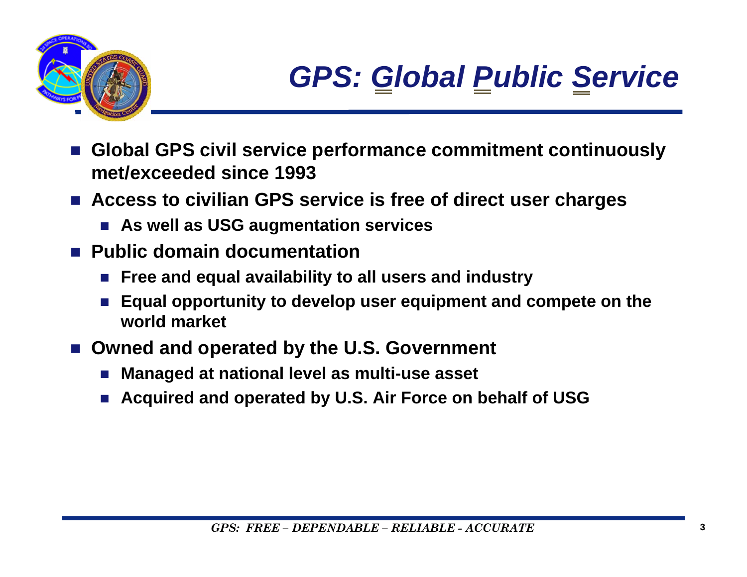

- F. **Global GPS civil service performance commitment continuously met/exceeded since 1993**
- **Access to civilian GPS service is free of direct user charges**
	- **As well as USG augmentation services**
- **Public domain documentation**
	- Free and equal availability to all users and industry
	- Equal opportunity to develop user equipment and compete on the **world market**
- Owned and operated by the U.S. Government
	- П **Managed at national level as multi-use asset**
	- П **Acquired and operated by U.S. Air Force on behalf of USG**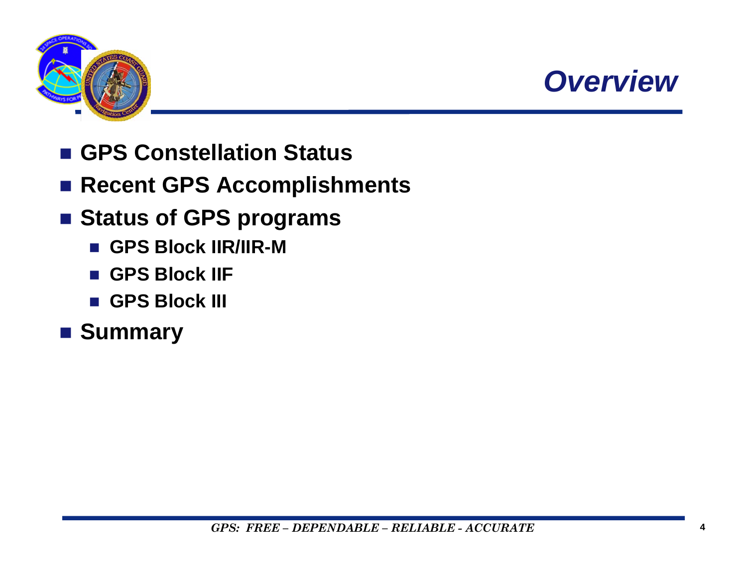



- GPS Constellation Status
- Recent GPS Accomplishments
- Status of GPS programs
	- **GPS Block IIR/IIR-M**
	- GPS Block IIF
	- **GPS Block III**
- **Summary**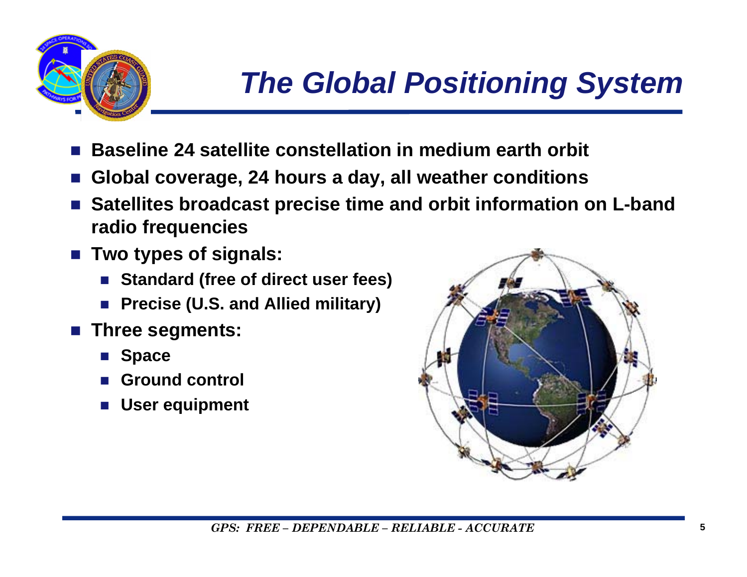

- F. **Baseline 24 satellite constellation in medium earth orbit**
- **Global coverage, 24 hours a day, all weather conditions**
- g) **Satellites broadcast precise time and orbit information on L-band radio frequencies**
- **Two types of signals:**
	- Standard (free of direct user fees)
	- П **Precise (U.S. and Allied military)**
- g) **Three segments:** 
	- Space
	- П **Ground control**
	- **User equipment**

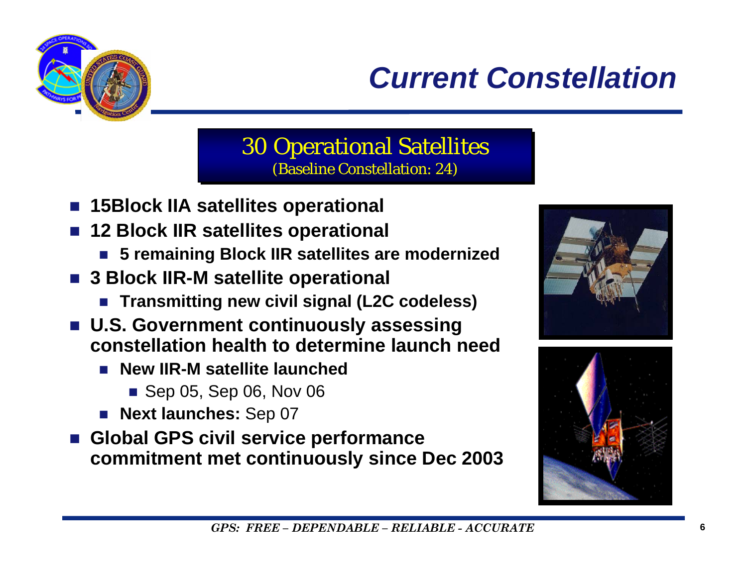

## *Current Constellation*

#### 30 Operational Satellites 30 Operational Satellites (Baseline Constellation: 24) (Baseline Constellation: 24)

- $\mathbb{R}^3$ **15Block IIA satellites operational**
- $\mathbb{R}^3$  **12 Block IIR satellites operational**
	- **5 remaining Block IIR satellites are modernized**
- **3 Block IIR-M satellite operational**
	- Transmitting new civil signal (L2C codeless)
- **U.S. Government continuously assessing constellation health to determine launch need**
	- **New IIR-M satellite launched** 
		- Sep 05, Sep 06, Nov 06
	- **Next launches:** Sep 07
- **Global GPS civil service performance commitment met continuously since Dec 2003**



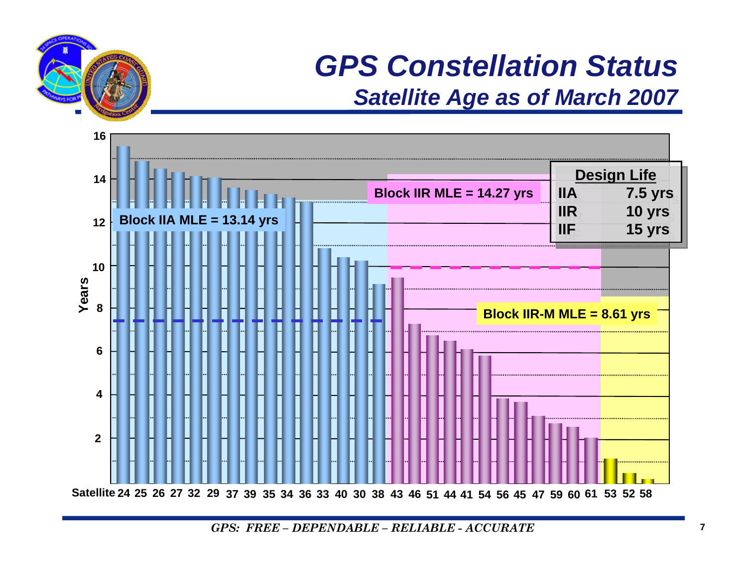

#### *GPS Constellation Status Satellite Age as of March 2007*



*GPS: FREE – DEPENDABLE – RELIABLE - ACCURATE*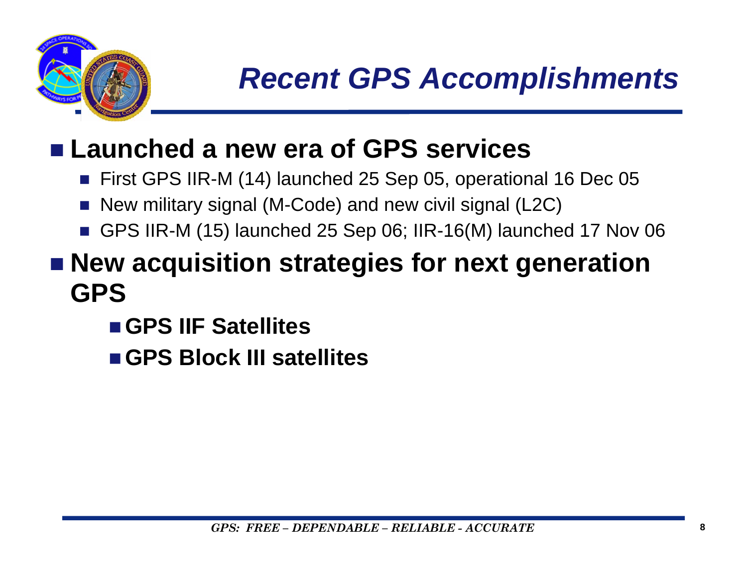

## **Launched a new era of GPS services**

- First GPS IIR-M (14) launched 25 Sep 05, operational 16 Dec 05
- $\mathcal{L}_{\mathcal{A}}$ New military signal (M-Code) and new civil signal (L2C)
- GPS IIR-M (15) launched 25 Sep 06; IIR-16(M) launched 17 Nov 06

## ■ New acquisition strategies for next generation **GPS**

- **GPS IIF Satellites**
- **GPS Block III satellites**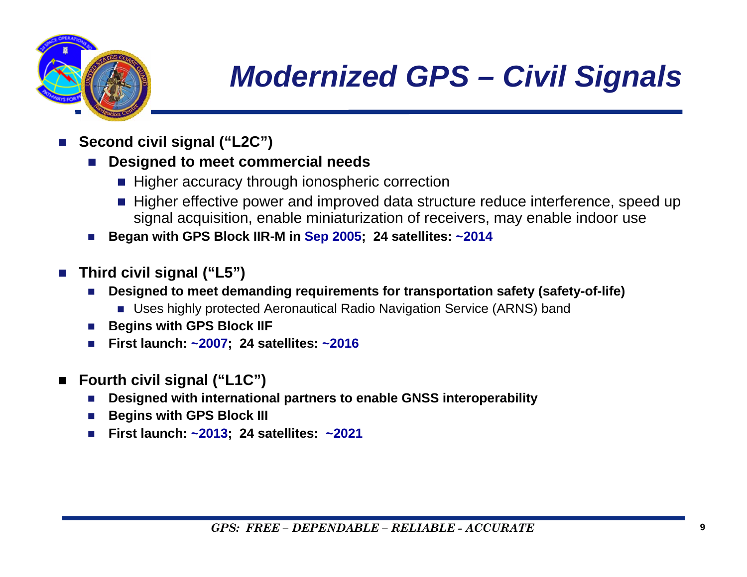

# *Modernized GPS – Civil Signals*

- P. **Second civil signal ("L2C")**
	- P. **Designed to meet commercial needs**
		- Higher accuracy through ionospheric correction
		- Higher effective power and improved data structure reduce interference, speed up signal acquisition, enable miniaturization of receivers, may enable indoor use
	- × **Began with GPS Block IIR-M in Sep 2005; 24 satellites: ~2014**
- **Third civil signal ("L5")**
	- **Designed to meet demanding requirements for transportation safety (safety-of-life)**
		- Uses highly protected Aeronautical Radio Navigation Service (ARNS) band
	- E **Begins with GPS Block IIF**
	- u **First launch: ~2007; 24 satellites: ~2016**
- $\blacksquare$  **Fourth civil signal ("L1C")**
	- **Designed with international partners to enable GNSS interoperability**
	- E **Begins with GPS Block III**
	- × **First launch: ~2013; 24 satellites: ~2021**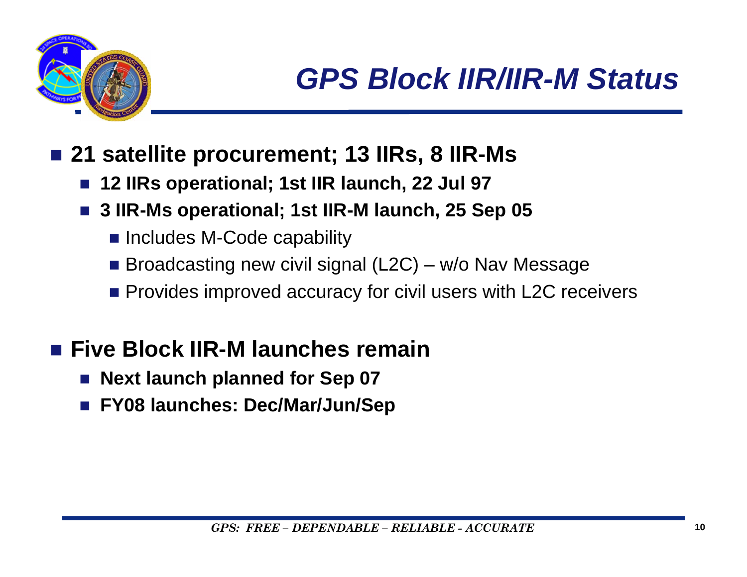

- 21 satellite procurement; 13 IIRs, 8 IIR-Ms
	- $\mathbb{R}^2$ **12 IIRs operational; 1st IIR launch, 22 Jul 97**
	- **3 IIR-Ms operational; 1st IIR-M launch, 25 Sep 05**
		- **Includes M-Code capability**
		- Broadcasting new civil signal (L2C) w/o Nav Message
		- **Provides improved accuracy for civil users with L2C receivers**

#### **Five Block IIR-M launches remain**

- $\mathbb{R}^3$ **Next launch planned for Sep 07**
- **FY08 launches: Dec/Mar/Jun/Sep**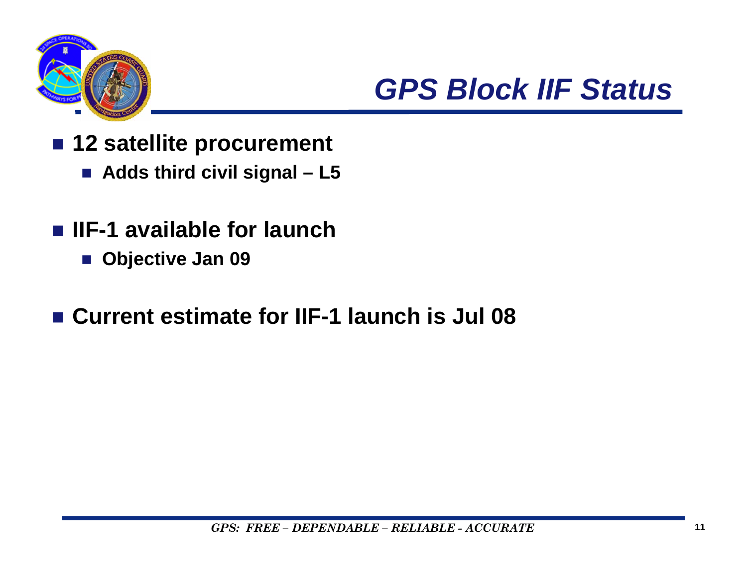

*GPS Block IIF Status*

- 12 satellite procurement
	- **Adds third civil signal – L5**
- **IIF-1 available for launch** 
	- **Objective Jan 09**
- **Current estimate for IIF-1 launch is Jul 08**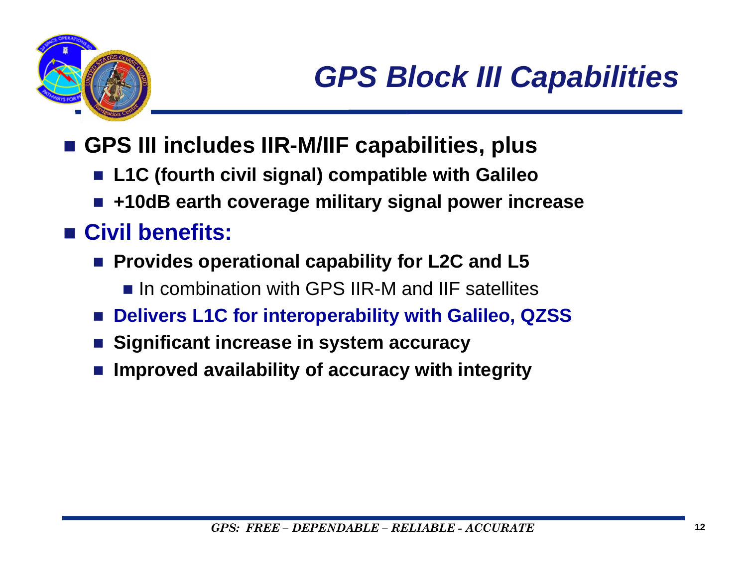

- **GPS III includes IIR-M/IIF capabilities, plus**
	- **L1C (fourth civil signal) compatible with Galileo**
	- **+10dB earth coverage military signal power increase**

#### **Civil benefits:**

- Provides operational capability for L2C and L5
	- **In combination with GPS IIR-M and IIF satellites**
- **Delivers L1C for interoperability with Galileo, QZSS**
- $\mathbb{R}^3$ **Significant increase in system accuracy**
- $\mathbb{R}^3$ **Improved availability of accuracy with integrity**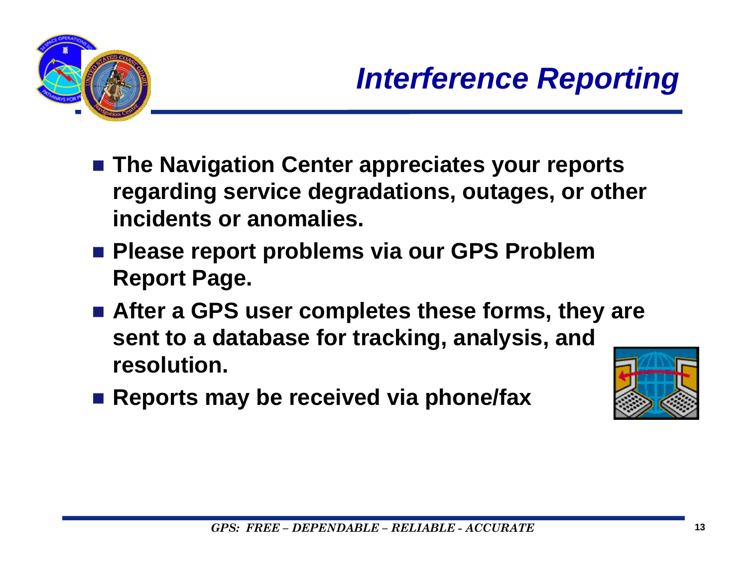

- The Navigation Center appreciates your reports **regarding service degradations, outages, or other incidents or anomalies.**
- Please report problems via our GPS Problem **Report Page.**
- After a GPS user completes these forms, they are **sent to a database for tracking, analysis, and resolution.**
- Reports may be received via phone/fax

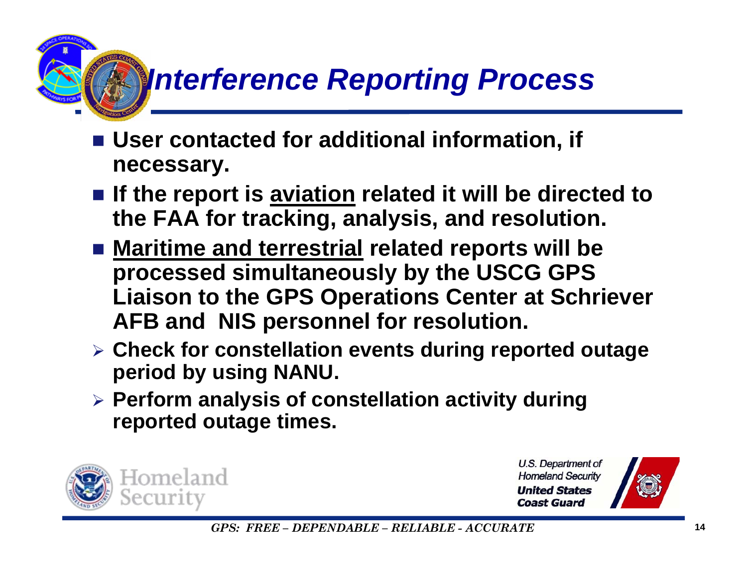# *Interference Reporting Process*

- User contacted for additional information, if **necessary.**
- If the report is <u>aviation</u> related it will be directed to **the FAA for tracking, analysis, and resolution.**
- **Maritime and terrestrial related reports will be processed simultaneously by the USCG GPS Liaison to the GPS Operations Center at Schriever AFB and NIS personnel for resolution.**
- ¾ **Check for constellation events during reported outage period by using NANU.**
- ¾ **Perform analysis of constellation activity during reported outage times.**



U.S. Department of **Homeland Security United States Coast Guard** 



*GPS: FREE – DEPENDABLE – RELIABLE - ACCURATE* $\boldsymbol{E}$  and  $\boldsymbol{I}$  and  $\boldsymbol{I}$  and  $\boldsymbol{I}$  and  $\boldsymbol{I}$  and  $\boldsymbol{I}$  and  $\boldsymbol{I}$  and  $\boldsymbol{I}$  and  $\boldsymbol{I}$  and  $\boldsymbol{I}$  and  $\boldsymbol{I}$  and  $\boldsymbol{I}$  and  $\boldsymbol{I}$  and  $\boldsymbol{I}$  and  $\boldsymbol{I}$  and  $\boldsymbol{I}$  and  $\boldsymbol{I}$  and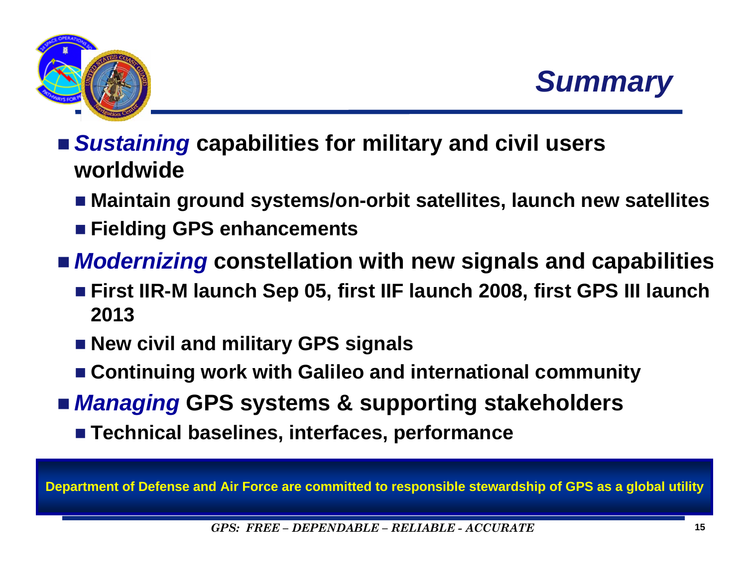



- *Sustaining* **capabilities for military and civil users worldwide**
	- **Maintain ground systems/on-orbit satellites, launch new satellites**
	- **Fielding GPS enhancements**
- *Modernizing* **constellation with new signals and capabilitie s**
	- **First IIR-M launch Sep 05, first IIF launch 2008, first GPS III launch 2013**
	- **New civil and military GPS signals**
	- **Continuing work with Galileo and international community**
- *Managing* **GPS systems & supporting stakeholders**
	- **Technical baselines, interfaces, performance**

**Department of Defense and Air Force are committed to responsible stewardship of GPS as a global utility**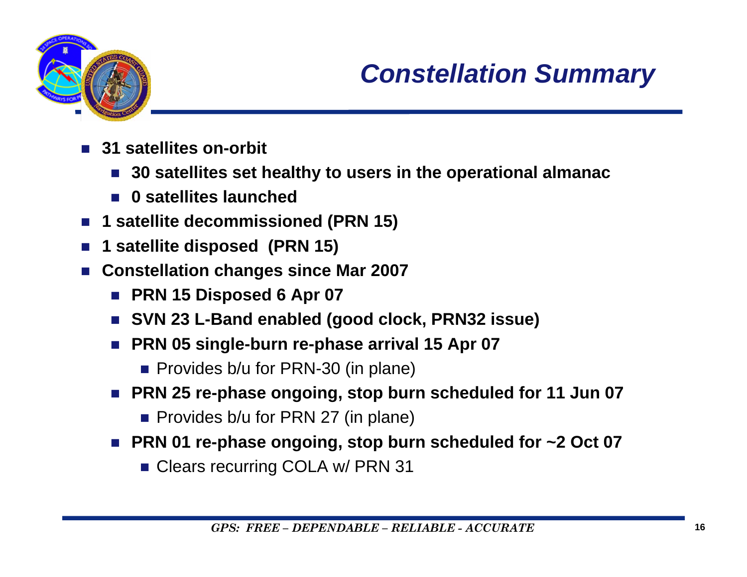

## *Constellation Summary*

- **31 satellites on-orbit**
	- **30 satellites set healthy to users in the operational almanac**
	- **0 satellites launched**
- П **1 satellite decommissioned (PRN 15)**
- П **1 satellite disposed (PRN 15)**
- П **Constellation changes since Mar 2007**
	- **PRN 15 Disposed 6 Apr 07**
	- SVN 23 L-Band enabled (good clock, PRN32 issue)
	- PRN 05 single-burn re-phase arrival 15 Apr 07
		- **Provides b/u for PRN-30 (in plane)**
	- PRN 25 re-phase ongoing, stop burn scheduled for 11 Jun 07
		- **Provides b/u for PRN 27 (in plane)**
	- PRN 01 re-phase ongoing, stop burn scheduled for ~2 Oct 07
		- **Clears recurring COLA w/ PRN 31**